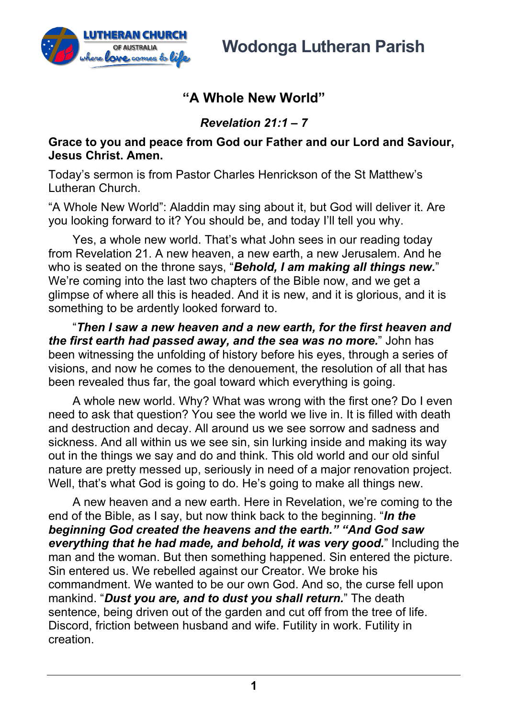

## **"A Whole New World"**

*Revelation 21:1 – 7*

## **Grace to you and peace from God our Father and our Lord and Saviour, Jesus Christ. Amen.**

Today's sermon is from Pastor Charles Henrickson of the St Matthew's Lutheran Church.

"A Whole New World": Aladdin may sing about it, but God will deliver it. Are you looking forward to it? You should be, and today I'll tell you why.

Yes, a whole new world. That's what John sees in our reading today from Revelation 21. A new heaven, a new earth, a new Jerusalem. And he who is seated on the throne says, "*Behold, I am making all things new.*" We're coming into the last two chapters of the Bible now, and we get a glimpse of where all this is headed. And it is new, and it is glorious, and it is something to be ardently looked forward to.

"*Then I saw a new heaven and a new earth, for the first heaven and the first earth had passed away, and the sea was no more.*" John has been witnessing the unfolding of history before his eyes, through a series of visions, and now he comes to the denouement, the resolution of all that has been revealed thus far, the goal toward which everything is going.

A whole new world. Why? What was wrong with the first one? Do I even need to ask that question? You see the world we live in. It is filled with death and destruction and decay. All around us we see sorrow and sadness and sickness. And all within us we see sin, sin lurking inside and making its way out in the things we say and do and think. This old world and our old sinful nature are pretty messed up, seriously in need of a major renovation project. Well, that's what God is going to do. He's going to make all things new.

A new heaven and a new earth. Here in Revelation, we're coming to the end of the Bible, as I say, but now think back to the beginning. "*In the beginning God created the heavens and the earth." "And God saw everything that he had made, and behold, it was very good.*" Including the man and the woman. But then something happened. Sin entered the picture. Sin entered us. We rebelled against our Creator. We broke his commandment. We wanted to be our own God. And so, the curse fell upon mankind. "*Dust you are, and to dust you shall return.*" The death sentence, being driven out of the garden and cut off from the tree of life. Discord, friction between husband and wife. Futility in work. Futility in creation.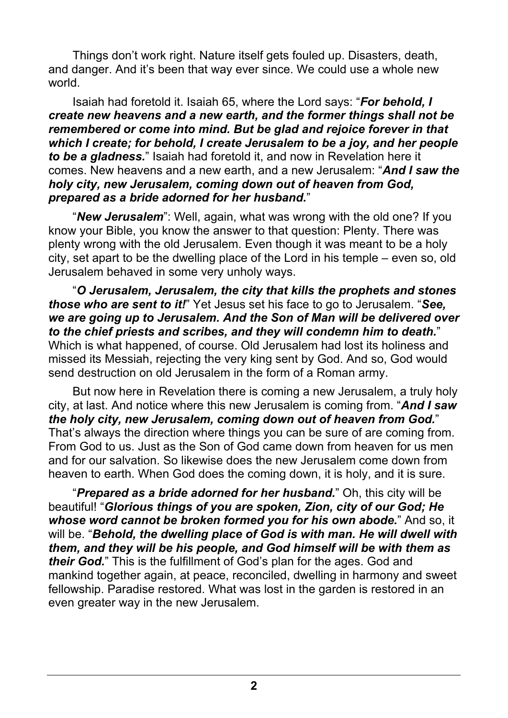Things don't work right. Nature itself gets fouled up. Disasters, death, and danger. And it's been that way ever since. We could use a whole new world.

Isaiah had foretold it. Isaiah 65, where the Lord says: "*For behold, I create new heavens and a new earth, and the former things shall not be remembered or come into mind. But be glad and rejoice forever in that which I create; for behold, I create Jerusalem to be a joy, and her people to be a gladness.*" Isaiah had foretold it, and now in Revelation here it comes. New heavens and a new earth, and a new Jerusalem: "*And I saw the holy city, new Jerusalem, coming down out of heaven from God, prepared as a bride adorned for her husband.*"

"*New Jerusalem*": Well, again, what was wrong with the old one? If you know your Bible, you know the answer to that question: Plenty. There was plenty wrong with the old Jerusalem. Even though it was meant to be a holy city, set apart to be the dwelling place of the Lord in his temple – even so, old Jerusalem behaved in some very unholy ways.

"*O Jerusalem, Jerusalem, the city that kills the prophets and stones those who are sent to it!*" Yet Jesus set his face to go to Jerusalem. "*See, we are going up to Jerusalem. And the Son of Man will be delivered over to the chief priests and scribes, and they will condemn him to death.*" Which is what happened, of course. Old Jerusalem had lost its holiness and missed its Messiah, rejecting the very king sent by God. And so, God would send destruction on old Jerusalem in the form of a Roman army.

But now here in Revelation there is coming a new Jerusalem, a truly holy city, at last. And notice where this new Jerusalem is coming from. "*And I saw the holy city, new Jerusalem, coming down out of heaven from God.*" That's always the direction where things you can be sure of are coming from. From God to us. Just as the Son of God came down from heaven for us men and for our salvation. So likewise does the new Jerusalem come down from heaven to earth. When God does the coming down, it is holy, and it is sure.

"*Prepared as a bride adorned for her husband.*" Oh, this city will be beautiful! "*Glorious things of you are spoken, Zion, city of our God; He whose word cannot be broken formed you for his own abode.*" And so, it will be. "*Behold, the dwelling place of God is with man. He will dwell with them, and they will be his people, and God himself will be with them as their God.*" This is the fulfillment of God's plan for the ages. God and mankind together again, at peace, reconciled, dwelling in harmony and sweet fellowship. Paradise restored. What was lost in the garden is restored in an even greater way in the new Jerusalem.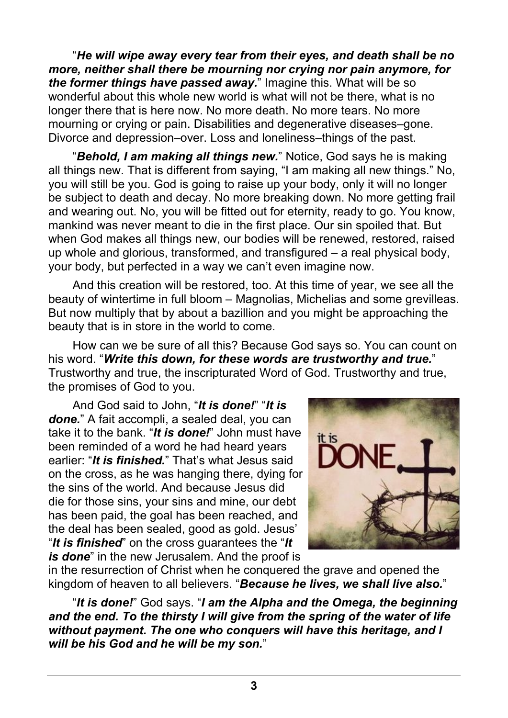"*He will wipe away every tear from their eyes, and death shall be no more, neither shall there be mourning nor crying nor pain anymore, for the former things have passed away.*" Imagine this. What will be so wonderful about this whole new world is what will not be there, what is no longer there that is here now. No more death. No more tears. No more mourning or crying or pain. Disabilities and degenerative diseases–gone. Divorce and depression–over. Loss and loneliness–things of the past.

"*Behold, I am making all things new.*" Notice, God says he is making all things new. That is different from saying, "I am making all new things." No, you will still be you. God is going to raise up your body, only it will no longer be subject to death and decay. No more breaking down. No more getting frail and wearing out. No, you will be fitted out for eternity, ready to go. You know, mankind was never meant to die in the first place. Our sin spoiled that. But when God makes all things new, our bodies will be renewed, restored, raised up whole and glorious, transformed, and transfigured – a real physical body, your body, but perfected in a way we can't even imagine now.

And this creation will be restored, too. At this time of year, we see all the beauty of wintertime in full bloom – Magnolias, Michelias and some grevilleas. But now multiply that by about a bazillion and you might be approaching the beauty that is in store in the world to come.

How can we be sure of all this? Because God says so. You can count on his word. "*Write this down, for these words are trustworthy and true.*" Trustworthy and true, the inscripturated Word of God. Trustworthy and true, the promises of God to you.

And God said to John, "*It is done!*" "*It is done.*" A fait accompli, a sealed deal, you can take it to the bank. "*It is done!*" John must have been reminded of a word he had heard years earlier: "*It is finished.*" That's what Jesus said on the cross, as he was hanging there, dying for the sins of the world. And because Jesus did die for those sins, your sins and mine, our debt has been paid, the goal has been reached, and the deal has been sealed, good as gold. Jesus' "*It is finished*" on the cross guarantees the "*It is done*" in the new Jerusalem. And the proof is



in the resurrection of Christ when he conquered the grave and opened the kingdom of heaven to all believers. "*Because he lives, we shall live also.*"

"*It is done!*" God says. "*I am the Alpha and the Omega, the beginning and the end. To the thirsty I will give from the spring of the water of life without payment. The one who conquers will have this heritage, and I will be his God and he will be my son.*"